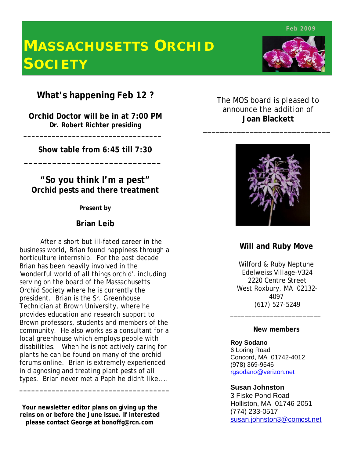**Feb 2009**

# **MASSACHUSETTS ORCHID SOCIETY**

**What's happening Feb 12 ?**

**Orchid Doctor will be in at 7:00 PM Dr. Robert Richter presiding**

 **\_\_\_\_\_\_\_\_\_\_\_\_\_\_\_\_\_\_\_\_\_\_\_\_\_\_\_\_\_\_\_\_\_\_**

 **\_\_\_\_\_\_\_\_\_\_\_\_\_\_\_\_\_\_\_\_\_\_\_\_\_\_\_\_\_**

**Show table from 6:45 till 7:30**

**"So you think I'm a pest" Orchid pests and there treatment**

**Present by**

### **Brian Leib**

After a short but ill-fated career in the business world, Brian found happiness through a horticulture internship. For the past decade Brian has been heavily involved in the 'wonderful world of all things orchid', including serving on the board of the Massachusetts Orchid Society where he is currently the president. Brian is the Sr. Greenhouse Technician at Brown University, where he provides education and research support to Brown professors, students and members of the community. He also works as a consultant for a local greenhouse which employs people with disabilities. When he is not actively caring for plants he can be found on many of the orchid forums online. Brian is extremely experienced in diagnosing and treating plant pests of all types. Brian never met a Paph he didn't like....

**Your newsletter editor plans on giving up the reins on or before the June issue. If interested please contact George at bonoffg@rcn.com**

**\_\_\_\_\_\_\_\_\_\_\_\_\_\_\_\_\_\_\_\_\_\_\_\_\_\_\_\_\_\_\_\_\_\_\_\_\_**

The MOS board is pleased to announce the addition of **Joan Blackett** 

\_\_\_\_\_\_\_\_\_\_\_\_\_\_\_\_\_\_\_\_\_\_\_\_\_\_\_\_\_\_



### **Will and Ruby Move**

Wilford & Ruby Neptune Edelweiss Village-V324 2220 Centre Street West Roxbury, MA 02132- 4097 (617) 527-5249

#### **New members**

\_\_\_\_\_\_\_\_\_\_\_\_\_\_\_\_\_\_\_\_\_\_\_\_\_

**Roy Sodano** 6 Loring Road Concord, MA 01742-4012 (978) 369-9546 rgsodano@verizon.net

**Susan Johnston**

3 Fiske Pond Road Holliston, MA 01746-2051 (774) 233-0517 susan.johnston3@comcst.net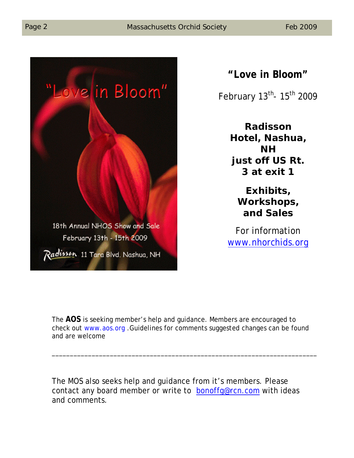

# **"Love in Bloom"**

February 13<sup>th</sup>- 15<sup>th</sup> 2009

**Radisson Hotel, Nashua, NH just off US Rt. 3 at exit 1**

> **Exhibits, Workshops, and Sales**

For information www.nhorchids.org

The **AOS** is seeking member's help and guidance. Members are encouraged to check out www.aos.org .Guidelines for comments suggested changes can be found and are welcome

\_\_\_\_\_\_\_\_\_\_\_\_\_\_\_\_\_\_\_\_\_\_\_\_\_\_\_\_\_\_\_\_\_\_\_\_\_\_\_\_\_\_\_\_\_\_\_\_\_\_\_\_\_\_\_\_\_\_\_\_\_\_\_\_\_\_\_\_\_\_\_\_\_

The MOS also seeks help and guidance from it's members. Please contact any board member or write to bonoffg@rcn.com with ideas and comments.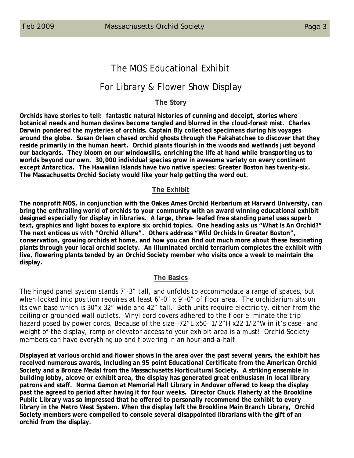# The MOS Educational Exhibit

## For Library & Flower Show Display

#### **The Story**

**Orchids have stories to tell: fantastic natural histories of cunning and deceipt, stories where botanical needs and human desires become tangled and blurred in the cloud-forest mist. Charles Darwin pondered the mysteries of orchids. Captain Bly collected specimens during his voyages around the globe. Susan Orlean chased orchid ghosts through the Fakahatchee to discover that they reside primarily in the human heart. Orchid plants flourish in the woods and wetlands just beyond our backyards. They bloom on our windowsills, enriching the life at hand while transporting us to worlds beyond our own. 30,000 individual species grow in awesome variety on every continent except Antarctica. The Hawaiian Islands have two native species: Greater Boston has twenty-six. The Massachusetts Orchid Society would like your help getting the word out.**

#### **The Exhibit**

**The nonprofit MOS, in conjunction with the Oakes Ames Orchid Herbarium at Harvard University, can bring the enthralling world of orchids to your community with an award winning educational exhibit designed especially for display in libraries. A large, three- leafed free standing panel uses superb text, graphics and light boxes to explore six orchid topics. One heading asks us "What Is An Orchid?" The next entices us with "Orchid Allure". Others address "Wild Orchids In Greater Boston", conservation, growing orchids at home, and how you can find out much more about these fascinating plants through your local orchid society. An illuminated orchid terrarium completes the exhibit with live, flowering plants tended by an Orchid Society member who visits once a week to maintain the display.**

#### **The Basics**

The hinged panel system stands 7'-3" tall, and unfolds to accommodate a range of spaces, but when locked into position requires at least 6'-0" x 9'-0" of floor area. The orchidarium sits on its own base which is 30"x 32" wide and 42" tall. Both units require electricity, either from the ceiling or grounded wall outlets. Vinyl cord covers adhered to the floor eliminate the trip hazard posed by power cords. Because of the size--72"L x50- 1/2"H x22 1/2"W in it's case--and weight of the display, ramp or elevator access to your exhibit area is a must! Orchid Society members can have everything up and flowering in an hour-and-a-half.

**Displayed at various orchid and flower shows in the area over the past several years, the exhibit has received numerous awards, including an 95 point Educational Certificate from the American Orchid Society and a Bronze Medal from the Massachusetts Horticultural Society. A striking ensemble in building lobby, alcove or exhibit area, the display has generated great enthusiasm in local library patrons and staff. Norma Gamon at Memorial Hall Library in Andover offered to keep the display past the agreed to period after having it for four weeks. Director Chuck Flaherty at the Brookline Public Library was so impressed that he offered to personally recommend the exhibit to every library in the Metro West System. When the display left the Brookline Main Branch Library, Orchid Society members were compelled to console several disappointed librarians with the gift of an orchid from the display.**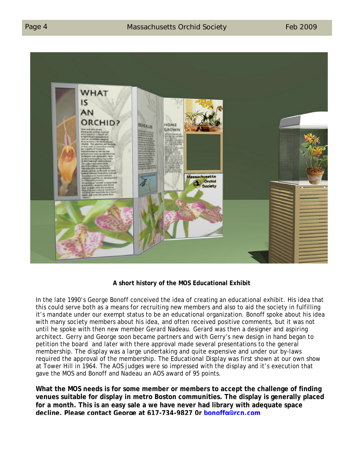

#### **A short history of the MOS Educational Exhibit**

In the late 1990's George Bonoff conceived the idea of creating an educational exhibit. His idea that this could serve both as a means for recruiting new members and also to aid the society in fulfilling it's mandate under our exempt status to be an educational organization. Bonoff spoke about his idea with many society members about his idea, and often received positive comments, but it was not until he spoke with then new member Gerard Nadeau. Gerard was then a designer and aspiring architect. Gerry and George soon became partners and with Gerry's new design in hand began to petition the board and later with there approval made several presentations to the general membership. The display was a large undertaking and quite expensive and under our by-laws required the approval of the membership. The Educational Display was first shown at our own show at Tower Hill in 1964. The AOS judges were so impressed with the display and it's execution that gave the MOS and Bonoff and Nadeau an AOS award of 95 points.

**What the MOS needs is for some member or members to accept the challenge of finding venues suitable for display in metro Boston communities. The display is generally placed for a month. This is an easy sale a we have never had library with adequate space decline. Please contact George at 617-734-9827 0r bonoffg@rcn.com**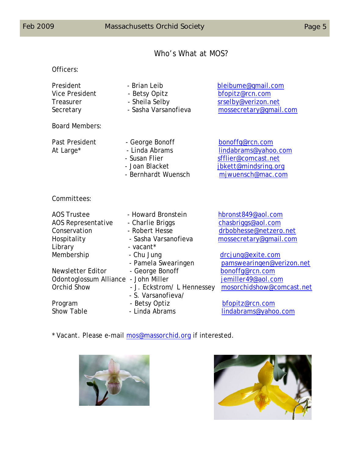Officers:

# Who's What at MOS?

| President<br><b>Vice President</b><br>Treasurer<br>Secretary                       | - Brian Leib<br>- Betsy Opitz<br>- Sheila Selby<br>- Sasha Varsanofieva                       | bleibume@gmail.com<br>bfopitz@rcn.com<br>srselby@verizon.net<br>mossecretary@gmail.com                      |
|------------------------------------------------------------------------------------|-----------------------------------------------------------------------------------------------|-------------------------------------------------------------------------------------------------------------|
| <b>Board Members:</b>                                                              |                                                                                               |                                                                                                             |
| Past President<br>At Large*                                                        | - George Bonoff<br>- Linda Abrams<br>- Susan Flier<br>- Joan Blacket<br>- Bernhardt Wuensch   | bonoffg@rcn.com<br>lindabrams@yahoo.com<br>sfflier@comcast.net<br>jbkett@mindsring.org<br>mjwuensch@mac.com |
| Committees:                                                                        |                                                                                               |                                                                                                             |
| <b>AOS Trustee</b><br>AOS Representative<br>Conservation<br>Hospitality<br>Library | - Howard Bronstein<br>- Charlie Briggs<br>- Robert Hesse<br>- Sasha Varsanofieva<br>- vacant* | hbronst849@aol.com<br>chasbriggs@aol.com<br>drbobhesse@netzero.net<br>mossecretary@gmail.com                |
| Membership                                                                         | - Chu Jung<br>- Pamela Swearingen                                                             | drcjung@exite.com<br>pamswearingen@verizon.net                                                              |
| Newsletter Editor<br>Odontoglossum Alliance - John Miller<br>Orchid Show           | - George Bonoff<br>- J. Eckstrom/L Hennessey                                                  | bonoffg@rcn.com<br>jemiller49@aol.com<br>mosorchidshow@comcast.net                                          |

- S. Varsanofieva/

Program - Betsy Optiz bfopitz@rcn.com lindabrams@yahoo.com

\* Vacant. Please e-mail mos@massorchid.org if interested.